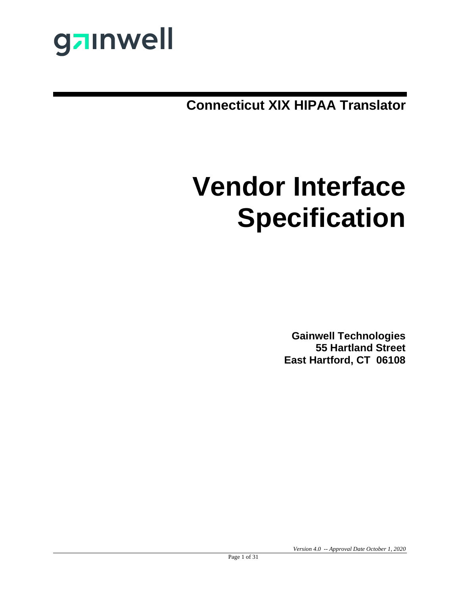

**Connecticut XIX HIPAA Translator**

# **Vendor Interface Specification**

**Gainwell Technologies 55 Hartland Street East Hartford, CT 06108**

*Version 4.0 -- Approval Date October 1, 2020*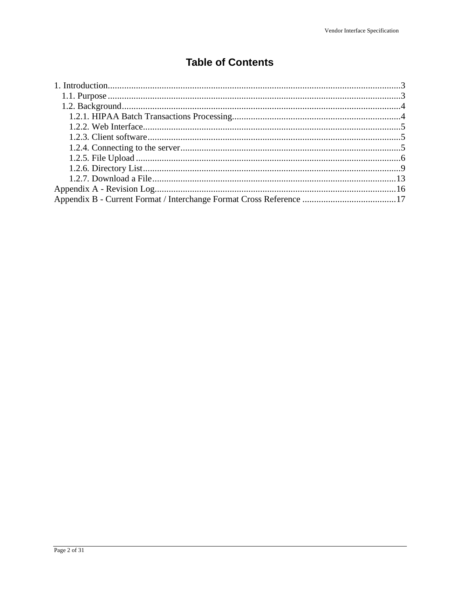### **Table of Contents**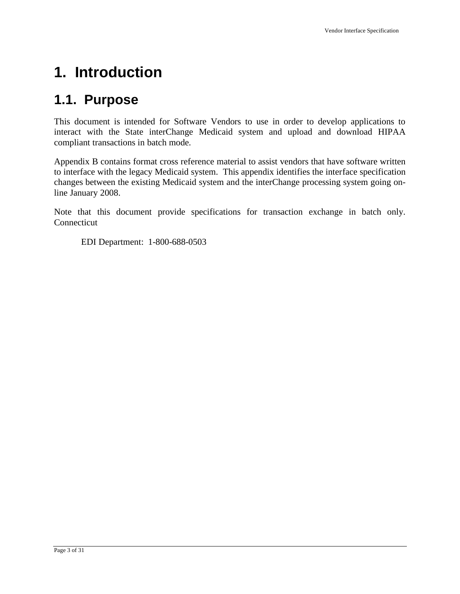# <span id="page-2-0"></span>**1. Introduction**

# <span id="page-2-1"></span>**1.1. Purpose**

This document is intended for Software Vendors to use in order to develop applications to interact with the State interChange Medicaid system and upload and download HIPAA compliant transactions in batch mode.

Appendix B contains format cross reference material to assist vendors that have software written to interface with the legacy Medicaid system. This appendix identifies the interface specification changes between the existing Medicaid system and the interChange processing system going online January 2008.

Note that this document provide specifications for transaction exchange in batch only. Connecticut

EDI Department: 1-800-688-0503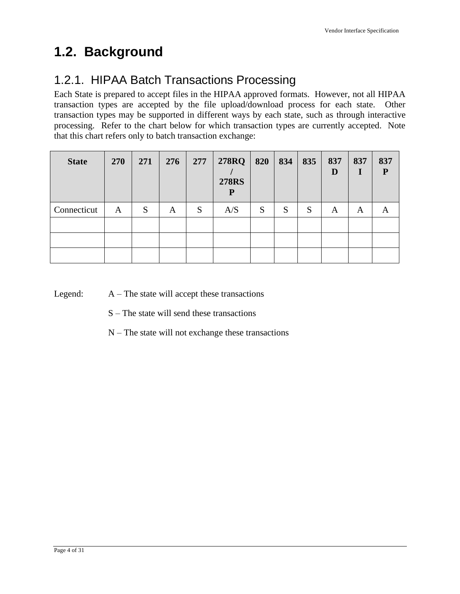# <span id="page-3-0"></span>**1.2. Background**

# <span id="page-3-1"></span>1.2.1. HIPAA Batch Transactions Processing

Each State is prepared to accept files in the HIPAA approved formats. However, not all HIPAA transaction types are accepted by the file upload/download process for each state. Other transaction types may be supported in different ways by each state, such as through interactive processing. Refer to the chart below for which transaction types are currently accepted. Note that this chart refers only to batch transaction exchange:

| <b>State</b> | <b>270</b> | 271 | 276 | 277 | <b>278RQ</b><br><b>278RS</b><br>P | 820 | 834 | 835 | 837<br>D | 837<br>1 | 837<br>${\bf P}$ |
|--------------|------------|-----|-----|-----|-----------------------------------|-----|-----|-----|----------|----------|------------------|
| Connecticut  | A          | S   | A   | S   | A/S                               | S   | S   | S   | A        | A        | A                |
|              |            |     |     |     |                                   |     |     |     |          |          |                  |
|              |            |     |     |     |                                   |     |     |     |          |          |                  |
|              |            |     |     |     |                                   |     |     |     |          |          |                  |

Legend:  $A - The state will accept these transactions$ 

- S The state will send these transactions
- N The state will not exchange these transactions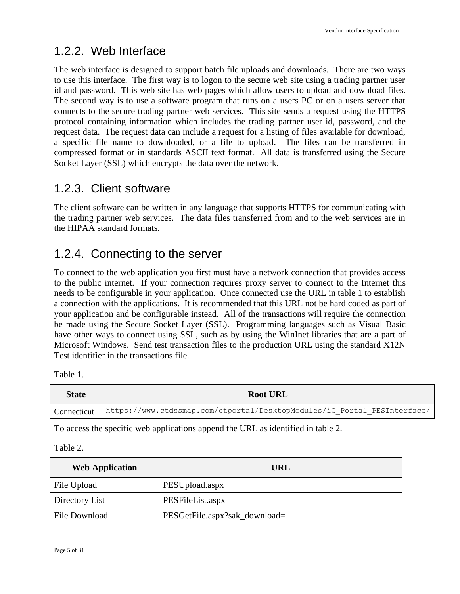### <span id="page-4-0"></span>1.2.2. Web Interface

The web interface is designed to support batch file uploads and downloads. There are two ways to use this interface. The first way is to logon to the secure web site using a trading partner user id and password. This web site has web pages which allow users to upload and download files. The second way is to use a software program that runs on a users PC or on a users server that connects to the secure trading partner web services. This site sends a request using the HTTPS protocol containing information which includes the trading partner user id, password, and the request data. The request data can include a request for a listing of files available for download, a specific file name to downloaded, or a file to upload. The files can be transferred in compressed format or in standards ASCII text format. All data is transferred using the Secure Socket Layer (SSL) which encrypts the data over the network.

### <span id="page-4-1"></span>1.2.3. Client software

The client software can be written in any language that supports HTTPS for communicating with the trading partner web services. The data files transferred from and to the web services are in the HIPAA standard formats.

# <span id="page-4-2"></span>1.2.4. Connecting to the server

To connect to the web application you first must have a network connection that provides access to the public internet. If your connection requires proxy server to connect to the Internet this needs to be configurable in your application. Once connected use the URL in table 1 to establish a connection with the applications. It is recommended that this URL not be hard coded as part of your application and be configurable instead. All of the transactions will require the connection be made using the Secure Socket Layer (SSL). Programming languages such as Visual Basic have other ways to connect using SSL, such as by using the WinInet libraries that are a part of Microsoft Windows. Send test transaction files to the production URL using the standard X12N Test identifier in the transactions file.

| Table |
|-------|
|-------|

| <b>State</b> | <b>Root URL</b>                                                          |
|--------------|--------------------------------------------------------------------------|
| Connecticut  | https://www.ctdssmap.com/ctportal/DesktopModules/iC Portal PESInterface/ |

To access the specific web applications append the URL as identified in table 2.

Table 2.

| <b>Web Application</b> | URL                           |
|------------------------|-------------------------------|
| File Upload            | PESUpload.aspx                |
| Directory List         | PESFileList.aspx              |
| File Download          | PESGetFile.aspx?sak_download= |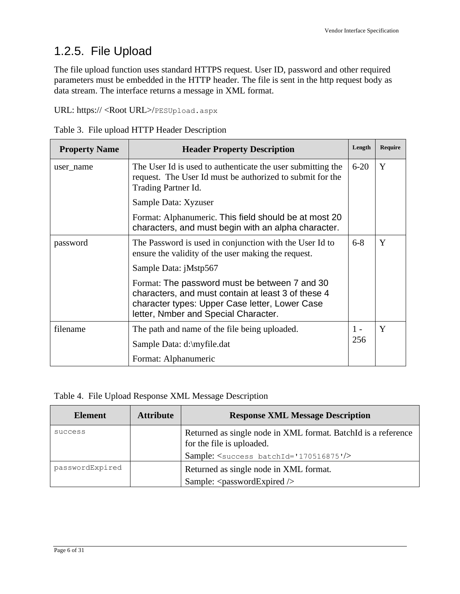# <span id="page-5-0"></span>1.2.5. File Upload

The file upload function uses standard HTTPS request. User ID, password and other required parameters must be embedded in the HTTP header. The file is sent in the http request body as data stream. The interface returns a message in XML format.

URL: https:// <Root URL>/PESUpload.aspx

| Table 3. File upload HTTP Header Description |  |  |
|----------------------------------------------|--|--|
|                                              |  |  |

| <b>Property Name</b> | <b>Header Property Description</b>                                                                                                                                                            | Length | <b>Require</b> |
|----------------------|-----------------------------------------------------------------------------------------------------------------------------------------------------------------------------------------------|--------|----------------|
| user name            | $6 - 20$<br>The User Id is used to authenticate the user submitting the<br>request. The User Id must be authorized to submit for the<br>Trading Partner Id.<br>Sample Data: Xyzuser           |        | Y              |
|                      |                                                                                                                                                                                               |        |                |
|                      | Format: Alphanumeric. This field should be at most 20<br>characters, and must begin with an alpha character.                                                                                  |        |                |
| password             | $6 - 8$<br>The Password is used in conjunction with the User Id to<br>ensure the validity of the user making the request.                                                                     |        | Y              |
|                      | Sample Data: jMstp567                                                                                                                                                                         |        |                |
|                      | Format: The password must be between 7 and 30<br>characters, and must contain at least 3 of these 4<br>character types: Upper Case letter, Lower Case<br>letter, Nmber and Special Character. |        |                |
| filename             | The path and name of the file being uploaded.                                                                                                                                                 | $1 -$  | Y              |
|                      | Sample Data: d:\myfile.dat                                                                                                                                                                    | 256    |                |
|                      | Format: Alphanumeric                                                                                                                                                                          |        |                |

#### Table 4. File Upload Response XML Message Description

| <b>Element</b>  | <b>Attribute</b> | <b>Response XML Message Description</b>                                                    |
|-----------------|------------------|--------------------------------------------------------------------------------------------|
| success         |                  | Returned as single node in XML format. BatchId is a reference<br>for the file is uploaded. |
|                 |                  | Sample: <success batchid="170516875"></success>                                            |
| passwordExpired |                  | Returned as single node in XML format.                                                     |
|                 |                  | Sample: $<$ passwordExpired $\ge$                                                          |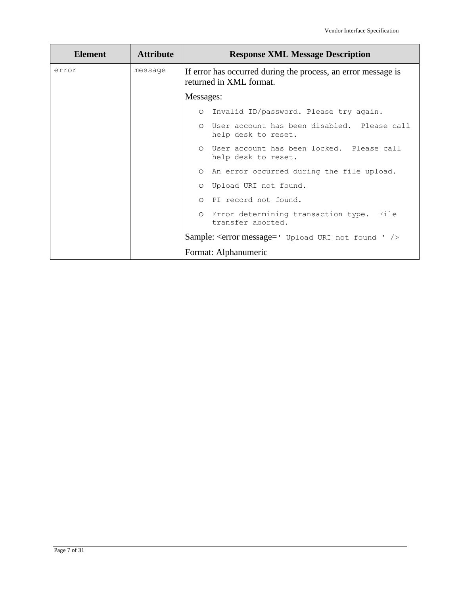| <b>Element</b> | <b>Attribute</b> | <b>Response XML Message Description</b>                                                  |  |  |
|----------------|------------------|------------------------------------------------------------------------------------------|--|--|
| error          | message          | If error has occurred during the process, an error message is<br>returned in XML format. |  |  |
|                |                  | Messages:                                                                                |  |  |
|                |                  | O Invalid ID/password. Please try again.                                                 |  |  |
|                |                  | O User account has been disabled. Please call<br>help desk to reset.                     |  |  |
|                |                  | O User account has been locked. Please call<br>help desk to reset.                       |  |  |
|                |                  | O An error occurred during the file upload.                                              |  |  |
|                |                  | O Upload URI not found.                                                                  |  |  |
|                |                  | O PI record not found.                                                                   |  |  |
|                |                  | O Error determining transaction type. File<br>transfer aborted.                          |  |  |
|                |                  | Sample: < error message=' Upload URI not found ' />                                      |  |  |
|                |                  | Format: Alphanumeric                                                                     |  |  |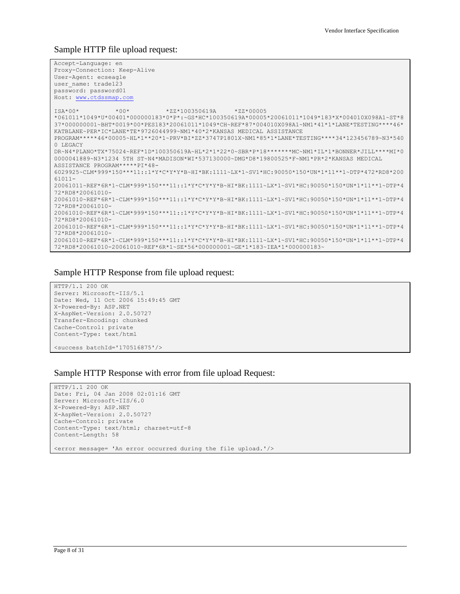Sample HTTP file upload request:

```
Accept-Language: en
Proxy-Connection: Keep-Alive
User-Agent: ecseagle
user name: trade123
password: password01
Host: www.ctdssmap.com
ISA*00* *00* *ZZ*100350619A *ZZ*00005 
*061011*1049*U*00401*000000183*0*P*:~GS*HC*100350619A*00005*20061011*1049*183*X*004010X098A1~ST*8
37*000000001~BHT*0019*00*PES183*20061011*1049*CH~REF*87*004010X098A1~NM1*41*1*LANE*TESTING****46*
KATBLANE~PER*IC*LANE*TE*9726044999~NM1*40*2*KANSAS MEDICAL ASSISTANCE 
PROGRAM*****46*00005~HL*1**20*1~PRV*BI*ZZ*3747P1801X~NM1*85*1*LANE*TESTING****34*123456789~N3*540
0 LEGACY 
DR~N4*PLANO*TX*75024~REF*1D*100350619A~HL*2*1*22*0~SBR*P*18*******MC~NM1*IL*1*BONNER*JILL****MI*0
0000041889~N3*1234 5TH ST~N4*MADISON*WI*537130000~DMG*D8*19800525*F~NM1*PR*2*KANSAS MEDICAL 
ASSISTANCE PROGRAM*****PI*48-
6029925~CLM*999*150***11::1*Y*C*Y*Y*B~HI*BK:1111~LX*1~SV1*HC:90050*150*UN*1*11**1~DTP*472*RD8*200
61011-
20061011~REF*6R*1~CLM*999*150***11::1*Y*C*Y*Y*B~HI*BK:1111~LX*1~SV1*HC:90050*150*UN*1*11**1~DTP*4
72*RD8*20061010-
20061010~REF*6R*1~CLM*999*150***11::1*Y*C*Y*Y*B~HI*BK:1111~LX*1~SV1*HC:90050*150*UN*1*11**1~DTP*4
72*RD8*20061010-
20061010~REF*6R*1~CLM*999*150***11::1*Y*C*Y*Y*B~HI*BK:1111~LX*1~SV1*HC:90050*150*UN*1*11**1~DTP*4
72*RD8*20061010-
20061010~REF*6R*1~CLM*999*150***11::1*Y*C*Y*Y*B~HI*BK:1111~LX*1~SV1*HC:90050*150*UN*1*11**1~DTP*4
72*RD8*20061010-
20061010~REF*6R*1~CLM*999*150***11::1*Y*C*Y*Y*B~HI*BK:1111~LX*1~SV1*HC:90050*150*UN*1*11**1~DTP*4
72*RD8*20061010-20061010~REF*6R*1~SE*56*000000001~GE*1*183~IEA*1*000000183~
```
#### Sample HTTP Response from file upload request:

```
HTTP/1.1 200 OK
Server: Microsoft-IIS/5.1
Date: Wed, 11 Oct 2006 15:49:45 GMT
X-Powered-By: ASP.NET
X-AspNet-Version: 2.0.50727
Transfer-Encoding: chunked
Cache-Control: private
Content-Type: text/html
```

```
<success batchId='170516875'/>
```
#### Sample HTTP Response with error from file upload Request:

```
HTTP/1.1 200 OK
Date: Fri, 04 Jan 2008 02:01:16 GMT
Server: Microsoft-IIS/6.0
X-Powered-By: ASP.NET
X-AspNet-Version: 2.0.50727
Cache-Control: private
Content-Type: text/html; charset=utf-8
Content-Length: 58
<error message= 'An error occurred during the file upload.'/>
```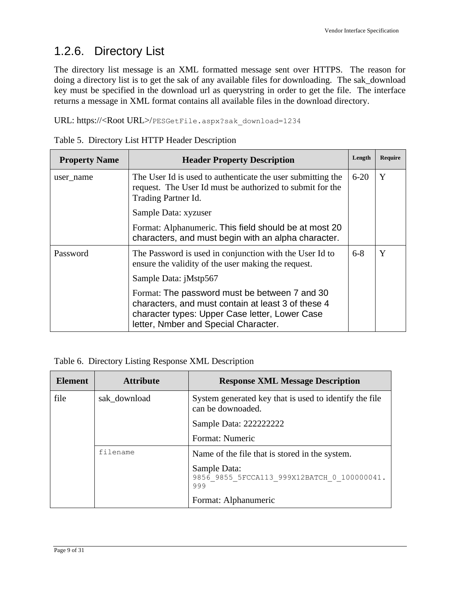# <span id="page-8-0"></span>1.2.6. Directory List

The directory list message is an XML formatted message sent over HTTPS. The reason for doing a directory list is to get the sak of any available files for downloading. The sak\_download key must be specified in the download url as querystring in order to get the file. The interface returns a message in XML format contains all available files in the download directory.

URL: https://<Root URL>/PESGetFile.aspx?sak\_download=1234

|  |  |  |  | Table 5. Directory List HTTP Header Description |
|--|--|--|--|-------------------------------------------------|
|--|--|--|--|-------------------------------------------------|

| <b>Property Name</b> | <b>Header Property Description</b>                                                                                                                                                            | Length | <b>Require</b> |
|----------------------|-----------------------------------------------------------------------------------------------------------------------------------------------------------------------------------------------|--------|----------------|
| user_name            | $6 - 20$<br>The User Id is used to authenticate the user submitting the<br>request. The User Id must be authorized to submit for the<br>Trading Partner Id.<br>Sample Data: xyzuser           |        | Y              |
|                      |                                                                                                                                                                                               |        |                |
|                      | Format: Alphanumeric. This field should be at most 20<br>characters, and must begin with an alpha character.                                                                                  |        |                |
| Password             | $6 - 8$<br>The Password is used in conjunction with the User Id to<br>ensure the validity of the user making the request.                                                                     |        | Y              |
|                      | Sample Data: jMstp567                                                                                                                                                                         |        |                |
|                      | Format: The password must be between 7 and 30<br>characters, and must contain at least 3 of these 4<br>character types: Upper Case letter, Lower Case<br>letter, Nmber and Special Character. |        |                |

Table 6. Directory Listing Response XML Description

| <b>Element</b> | <b>Attribute</b> | <b>Response XML Message Description</b>                                     |
|----------------|------------------|-----------------------------------------------------------------------------|
| file           | sak download     | System generated key that is used to identify the file<br>can be downoaded. |
|                |                  | Sample Data: 2222222222                                                     |
|                |                  | Format: Numeric                                                             |
|                | filename         | Name of the file that is stored in the system.                              |
|                |                  | Sample Data:<br>9856 9855 5FCCA113 999X12BATCH 0 100000041.<br>999          |
|                |                  | Format: Alphanumeric                                                        |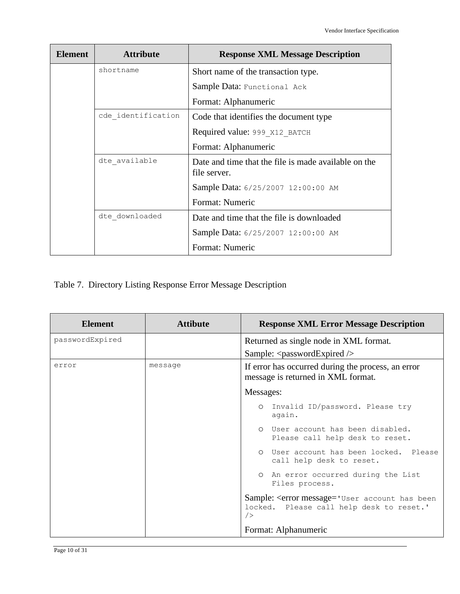| Element | <b>Attribute</b>   | <b>Response XML Message Description</b>                              |  |  |
|---------|--------------------|----------------------------------------------------------------------|--|--|
|         | shortname          | Short name of the transaction type.                                  |  |  |
|         |                    | Sample Data: Functional Ack                                          |  |  |
|         |                    | Format: Alphanumeric                                                 |  |  |
|         | cde identification | Code that identifies the document type                               |  |  |
|         |                    | Required value: 999 X12 BATCH                                        |  |  |
|         |                    | Format: Alphanumeric                                                 |  |  |
|         | dte available      | Date and time that the file is made available on the<br>file server. |  |  |
|         |                    | Sample Data: 6/25/2007 12:00:00 AM                                   |  |  |
|         |                    | Format: Numeric                                                      |  |  |
|         | dte downloaded     | Date and time that the file is downloaded                            |  |  |
|         |                    | Sample Data: 6/25/2007 12:00:00 AM                                   |  |  |
|         |                    | Format: Numeric                                                      |  |  |

### Table 7. Directory Listing Response Error Message Description

| <b>Element</b>  | <b>Attibute</b> | <b>Response XML Error Message Description</b>                                                     |  |  |  |
|-----------------|-----------------|---------------------------------------------------------------------------------------------------|--|--|--|
| passwordExpired |                 | Returned as single node in XML format.                                                            |  |  |  |
|                 |                 | Sample: $<$ passwordExpired $\rightarrow$                                                         |  |  |  |
| error           | message         | If error has occurred during the process, an error<br>message is returned in XML format.          |  |  |  |
|                 |                 | Messages:                                                                                         |  |  |  |
|                 |                 | Invalid ID/password. Please try<br>$\circ$<br>again.                                              |  |  |  |
|                 |                 | User account has been disabled.<br>$\circ$<br>Please call help desk to reset.                     |  |  |  |
|                 |                 | User account has been locked. Please<br>$\Omega$<br>call help desk to reset.                      |  |  |  |
|                 |                 | An error occurred during the List<br>Files process.                                               |  |  |  |
|                 |                 | Sample: < error message = 'User account has been<br>locked. Please call help desk to reset.'<br>/ |  |  |  |
|                 |                 | Format: Alphanumeric                                                                              |  |  |  |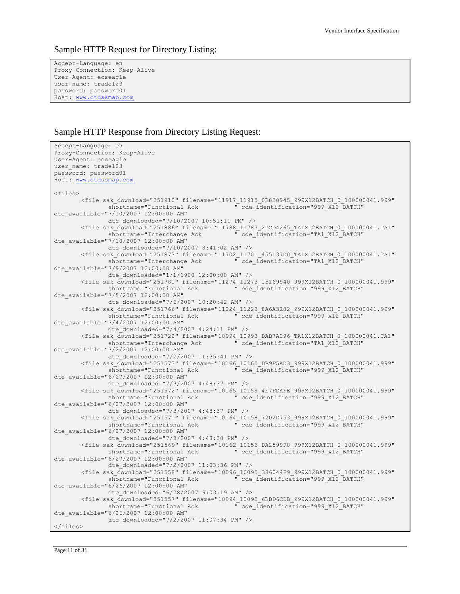#### Sample HTTP Request for Directory Listing:

```
Accept-Language: en
Proxy-Connection: Keep-Alive
User-Agent: ecseagle
user name: trade123
password: password01
Host: www.ctdssmap.com
```
#### Sample HTTP Response from Directory Listing Request:

```
Accept-Language: en
Proxy-Connection: Keep-Alive
User-Agent: ecseagle
user name: trade123
password: password01
Host: www.ctdssmap.com
<files>
        \text{while sak\_download="251910" filename="11917_11915_0B828945_999X12BATCH_0_100000041.999" shortname="Functional Ack \overline{C} de identification="999 X12 BATCH"
                                                    " cde_identification="999_X12_BATCH"
dte_available="7/10/2007 12:00:00 AM"
               dte_downloaded="7/10/2007 10:51:11 PM" />
        <file sak_download="251886" filename="11788_11787_2DCD4265_TA1X12BATCH_0_100000041.TA1"
                                                    " cde identification="TA1_X12_BATCH"
dte_available="7/10/2007 12:00:00 AM"
               dte downloaded="7/10/2007 8:41:02 AM" />
        <file sak_download="251873" filename="11702_11701_455137D0_TA1X12BATCH_0_100000041.TA1"
                                                   " cde_identification="TA1_X12_BATCH"
dte_available="7/9/2007 12:00:00 AM"
               dte downloaded="1/1/1900 12:00:00 AM" />
        \text{while sak\_download="251781" filename="11274_11273_15169940_999X12BATCH\_0_100000041.999" shortname="Functional Ack \overline{C} de identification="999 X12 BATCH"
                                                    " cde_identification="999_X12_BATCH"
dte_available="7/5/2007 12:00:00 AM"
               dte downloaded="7/6/2007 10:20:42 AM" />
        <file sak_download="251766" filename="11224_11223_8A6A3E82_999X12BATCH_0_100000041.999"
                shortname="Functional Ack " cde_identification="999_X12_BATCH" 
dte_available="7/4/2007 12:00:00 AM"
               dte downloaded="7/4/2007 4:24:11 PM" />
        <file sak_download="251722" filename="10994_10993_DAB7A096_TA1X12BATCH_0_100000041.TA1"
                                                    " cde_identification="TA1_X12_BATCH"
dte available="7/2/2007 12:00:00 AM"
               dte downloaded="7/2/2007 11:35:41 PM" />
        <file sak_download="251573" filename="10166_10160_DB9F5AD3_999X12BATCH_0_100000041.999"
                                                " cde_identification="999_X12_BATCH"
dte_available="6/27/2007 12:00:00 AM"
               dte_downloaded="7/3/2007 4:48:37 PM" />
        <file sak_download="251572" filename="10165_10159_4E7FDAFE_999X12BATCH_0_100000041.999"
                shortname="Functional Ack " cde_identification="999_X12_BATCH" 
dte_available="6/27/2007 12:00:00 AM"
               dte downloaded="7/3/2007 4:48:37 PM" />
        <file sak_download="251571" filename="10164_10158_7202D753_999X12BATCH_0_100000041.999"
                                                    " cde_identification="999_X12_BATCH"
dte_available="6/27/2007 12:00:00 AM"
               dte_downloaded="7/3/2007 4:48:38 PM" />
        <file sak download="251569" filename="10162 10156 DA2599F8 999X12BATCH 0 100000041.999"
               shortname="Functional Ack "
cde_identification="999_X12_BATCH"
dte_available="6/27/2007 12:00:00 AM"
               dte downloaded="7/2/2007 11:03:36 PM" />
        <file sak_download="251558" filename="10096_10095_386044F9_999X12BATCH_0_100000041.999"
               shortname="Functional Ack \overline{''} cde identification="999 X12 BATCH"
dte_available="6/26/2007 12:00:00 AM"
               dte downloaded="6/28/2007 9:03:19 AM" />
        <file sak_download="251557" filename="10094_10092_6BBD6CDB_999X12BATCH_0_100000041.999"
                shortname="Functional Ack " cde_identification="999_X12_BATCH" 
dte_available="6/26/2007 12:00:00 AM"
               dte downloaded="7/2/2007 11:07:34 PM" />
</files>
```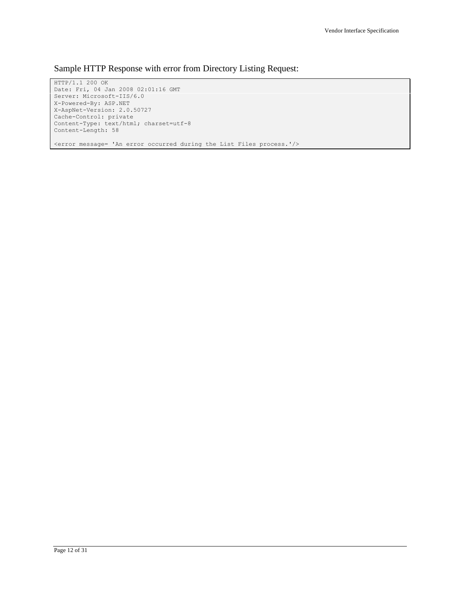Sample HTTP Response with error from Directory Listing Request:

HTTP/1.1 200 OK Date: Fri, 04 Jan 2008 02:01:16 GMT Server: Microsoft-IIS/6.0 X-Powered-By: ASP.NET X-AspNet-Version: 2.0.50727 Cache-Control: private Content-Type: text/html; charset=utf-8 Content-Length: 58 <error message= 'An error occurred during the List Files process.'/>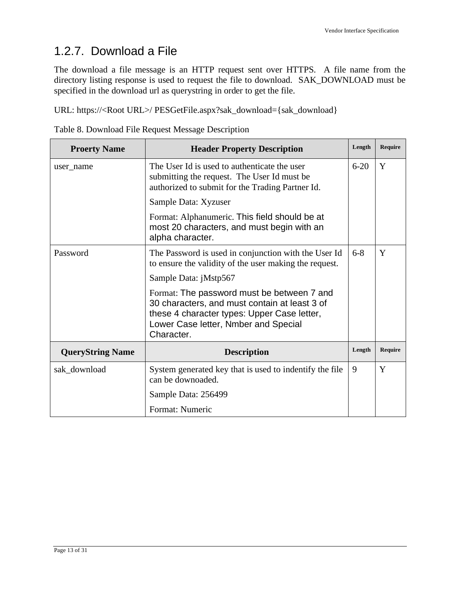### <span id="page-12-0"></span>1.2.7. Download a File

The download a file message is an HTTP request sent over HTTPS. A file name from the directory listing response is used to request the file to download. SAK\_DOWNLOAD must be specified in the download url as querystring in order to get the file.

URL: https://<Root URL>/ PESGetFile.aspx?sak\_download={sak\_download}

|  |  | Table 8. Download File Request Message Description |
|--|--|----------------------------------------------------|
|  |  |                                                    |

| <b>Proerty Name</b>     | <b>Header Property Description</b>                                                                                                                                                               | Length | <b>Require</b> |
|-------------------------|--------------------------------------------------------------------------------------------------------------------------------------------------------------------------------------------------|--------|----------------|
| user name               | The User Id is used to authenticate the user<br>$6 - 20$<br>submitting the request. The User Id must be<br>authorized to submit for the Trading Partner Id.                                      |        | Y              |
|                         | Sample Data: Xyzuser                                                                                                                                                                             |        |                |
|                         | Format: Alphanumeric. This field should be at<br>most 20 characters, and must begin with an<br>alpha character.                                                                                  |        |                |
| Password                | The Password is used in conjunction with the User Id<br>to ensure the validity of the user making the request.                                                                                   | $6-8$  | Y              |
|                         | Sample Data: jMstp567                                                                                                                                                                            |        |                |
|                         | Format: The password must be between 7 and<br>30 characters, and must contain at least 3 of<br>these 4 character types: Upper Case letter,<br>Lower Case letter, Nmber and Special<br>Character. |        |                |
| <b>QueryString Name</b> | <b>Description</b>                                                                                                                                                                               | Length | <b>Require</b> |
| sak_download            | System generated key that is used to indentify the file<br>can be downoaded.                                                                                                                     | 9      | Y              |
|                         | Sample Data: 256499                                                                                                                                                                              |        |                |
|                         | Format: Numeric                                                                                                                                                                                  |        |                |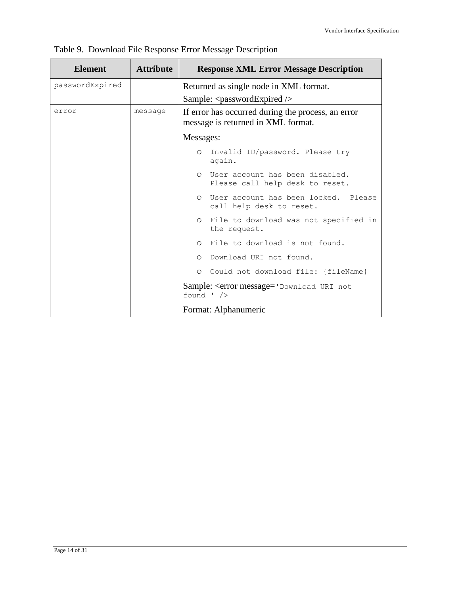| <b>Element</b>  | <b>Attribute</b> | <b>Response XML Error Message Description</b>                                            |  |  |  |  |
|-----------------|------------------|------------------------------------------------------------------------------------------|--|--|--|--|
| passwordExpired |                  | Returned as single node in XML format.                                                   |  |  |  |  |
|                 |                  | Sample: $<$ passwordExpired $\ge$                                                        |  |  |  |  |
| error           | message          | If error has occurred during the process, an error<br>message is returned in XML format. |  |  |  |  |
|                 |                  | Messages:                                                                                |  |  |  |  |
|                 |                  | Invalid ID/password. Please try<br>$\circ$<br>again.                                     |  |  |  |  |
|                 |                  | User account has been disabled.<br>$\cap$<br>Please call help desk to reset.             |  |  |  |  |
|                 |                  | User account has been locked. Please<br>$\cap$<br>call help desk to reset.               |  |  |  |  |
|                 |                  | File to download was not specified in<br>$\circ$<br>the request.                         |  |  |  |  |
|                 |                  | O File to download is not found.                                                         |  |  |  |  |
|                 |                  | O Download URI not found.                                                                |  |  |  |  |
|                 |                  | O Could not download file: {fileName}                                                    |  |  |  |  |
|                 |                  | Sample: < error message = 'Download URI not<br>found $\prime$ />                         |  |  |  |  |
|                 |                  | Format: Alphanumeric                                                                     |  |  |  |  |

|  |  |  |  |  |  | Table 9. Download File Response Error Message Description |
|--|--|--|--|--|--|-----------------------------------------------------------|
|--|--|--|--|--|--|-----------------------------------------------------------|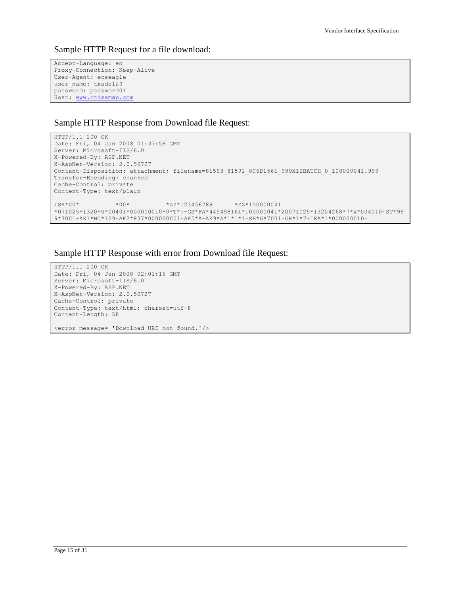Sample HTTP Request for a file download:

```
Accept-Language: en
Proxy-Connection: Keep-Alive
User-Agent: ecseagle
user name: trade123
password: password01
Host: www.ctdssmap.com
```
#### Sample HTTP Response from Download file Request:

```
HTTP/1.1 200 OK
Date: Fri, 04 Jan 2008 01:37:59 GMT
Server: Microsoft-IIS/6.0
X-Powered-By: ASP.NET
X-AspNet-Version: 2.0.50727
Content-Disposition: attachment; filename=81593_81592_8C6D1561_999X12BATCH_0_100000041.999
Transfer-Encoding: chunked
Cache-Control: private
Content-Type: text/plain
ISA*00* *00* *ZZ*123456789 *ZZ*100000041 
*071025*1320*U*00401*000000010*0*T*:~GS*FA*445498161*100000041*20071025*13204268*7*X*004010~ST*99
9*7001~AK1*HC*129~AK2*837*000000001~AK5*A~AK9*A*1*1*1~SE*6*7001~GE*1*7~IEA*1*000000010~
```
#### Sample HTTP Response with error from Download file Request:

HTTP/1.1 200 OK Date: Fri, 04 Jan 2008 02:01:16 GMT Server: Microsoft-IIS/6.0 X-Powered-By: ASP.NET X-AspNet-Version: 2.0.50727 Cache-Control: private Content-Type: text/html; charset=utf-8 Content-Length: 58 <error message= 'Download URI not found.'/>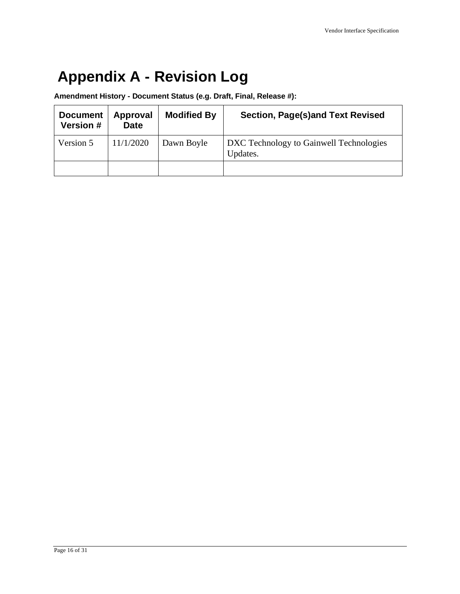# <span id="page-15-0"></span>**Appendix A - Revision Log**

**Amendment History - Document Status (e.g. Draft, Final, Release #):**

| <b>Document</b><br><b>Version #</b> | Approval<br><b>Date</b> | <b>Modified By</b> | Section, Page(s)and Text Revised                    |
|-------------------------------------|-------------------------|--------------------|-----------------------------------------------------|
| Version 5                           | 11/1/2020               | Dawn Boyle         | DXC Technology to Gainwell Technologies<br>Updates. |
|                                     |                         |                    |                                                     |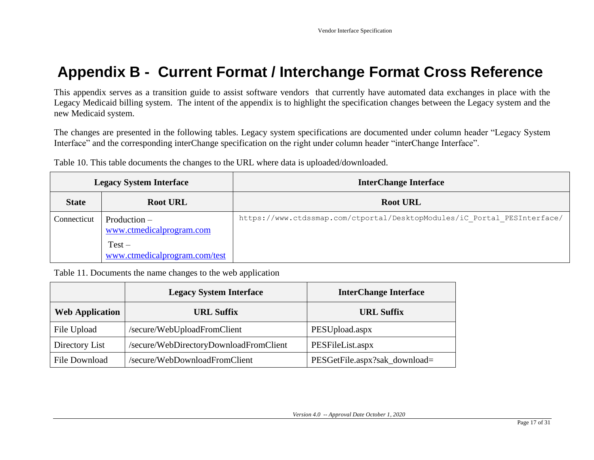# **Appendix B - Current Format / Interchange Format Cross Reference**

This appendix serves as a transition guide to assist software vendors that currently have automated data exchanges in place with the Legacy Medicaid billing system. The intent of the appendix is to highlight the specification changes between the Legacy system and the new Medicaid system.

The changes are presented in the following tables. Legacy system specifications are documented under column header "Legacy System Interface" and the corresponding interChange specification on the right under column header "interChange Interface".

Table 10. This table documents the changes to the URL where data is uploaded/downloaded.

<span id="page-16-0"></span>

| <b>Legacy System Interface</b> |                                            | <b>InterChange Interface</b>                                             |
|--------------------------------|--------------------------------------------|--------------------------------------------------------------------------|
| <b>State</b>                   | <b>Root URL</b>                            | <b>Root URL</b>                                                          |
| Connecticut                    | $Production -$<br>www.ctmedicalprogram.com | https://www.ctdssmap.com/ctportal/DesktopModules/iC Portal PESInterface/ |
|                                | $Test -$<br>www.ctmedicalprogram.com/test  |                                                                          |

Table 11. Documents the name changes to the web application

|                        | <b>Legacy System Interface</b>         | <b>InterChange Interface</b>  |
|------------------------|----------------------------------------|-------------------------------|
| <b>Web Application</b> | <b>URL Suffix</b>                      | <b>URL Suffix</b>             |
| File Upload            | /secure/WebUploadFromClient            | PESUpload.aspx                |
| Directory List         | /secure/WebDirectoryDownloadFromClient | PESFileList.aspx              |
| File Download          | /secure/WebDownloadFromClient          | PESGetFile.aspx?sak_download= |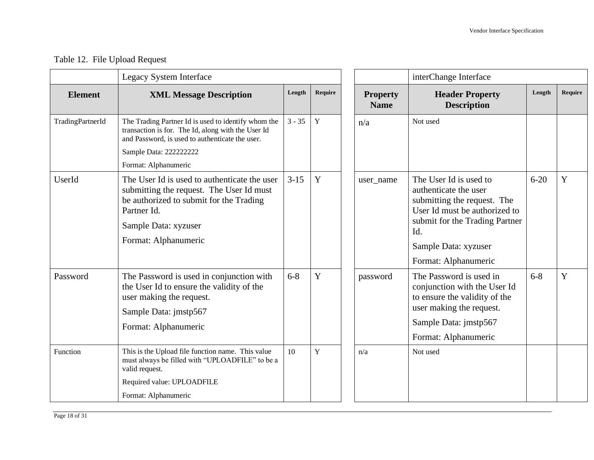### Table 12. File Upload Request

|                  | <b>Legacy System Interface</b>                                                                                                                                                                     |          |             |                                | interChange Interface                                                                                                                                                                                    |          |         |
|------------------|----------------------------------------------------------------------------------------------------------------------------------------------------------------------------------------------------|----------|-------------|--------------------------------|----------------------------------------------------------------------------------------------------------------------------------------------------------------------------------------------------------|----------|---------|
| <b>Element</b>   | <b>XML Message Description</b>                                                                                                                                                                     | Length   | Require     | <b>Property</b><br><b>Name</b> | <b>Header Property</b><br><b>Description</b>                                                                                                                                                             | Length   | Require |
| TradingPartnerId | The Trading Partner Id is used to identify whom the<br>transaction is for. The Id, along with the User Id<br>and Password, is used to authenticate the user.<br>Sample Data: 2222222222            | $3 - 35$ | $\mathbf Y$ | n/a                            | Not used                                                                                                                                                                                                 |          |         |
|                  | Format: Alphanumeric                                                                                                                                                                               |          |             |                                |                                                                                                                                                                                                          |          |         |
| UserId           | The User Id is used to authenticate the user<br>submitting the request. The User Id must<br>be authorized to submit for the Trading<br>Partner Id.<br>Sample Data: xyzuser<br>Format: Alphanumeric | $3-15$   | Y           | user_name                      | The User Id is used to<br>authenticate the user<br>submitting the request. The<br>User Id must be authorized to<br>submit for the Trading Partner<br>Id.<br>Sample Data: xyzuser<br>Format: Alphanumeric | $6 - 20$ | Y       |
| Password         | The Password is used in conjunction with<br>the User Id to ensure the validity of the<br>user making the request.<br>Sample Data: jmstp567<br>Format: Alphanumeric                                 | $6 - 8$  | Y           | password                       | The Password is used in<br>conjunction with the User Id<br>to ensure the validity of the<br>user making the request.<br>Sample Data: jmstp567<br>Format: Alphanumeric                                    | $6 - 8$  | Y       |
| Function         | This is the Upload file function name. This value<br>must always be filled with "UPLOADFILE" to be a<br>valid request.<br>Required value: UPLOADFILE                                               | 10       | Y           | n/a                            | Not used                                                                                                                                                                                                 |          |         |
|                  | Format: Alphanumeric                                                                                                                                                                               |          |             |                                |                                                                                                                                                                                                          |          |         |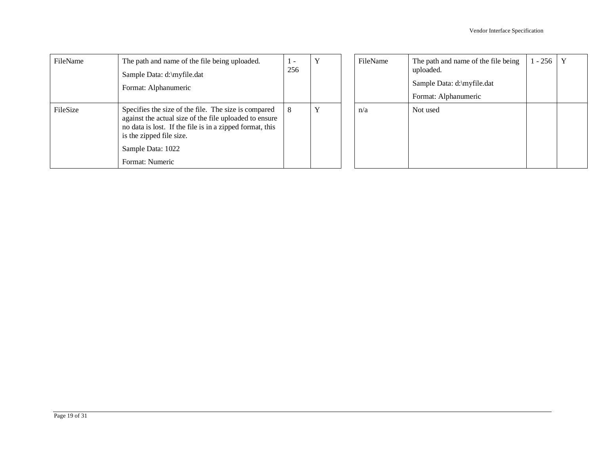| FileName | The path and name of the file being uploaded.<br>Sample Data: d:\myfile.dat<br>Format: Alphanumeric                                                                                                                                            | . .<br>256 |   | FileName | The path and name of the file being<br>uploaded.<br>Sample Data: d:\myfile.dat<br>Format: Alphanumeric | $1 - 256$ | $\mathbf{Y}$ |
|----------|------------------------------------------------------------------------------------------------------------------------------------------------------------------------------------------------------------------------------------------------|------------|---|----------|--------------------------------------------------------------------------------------------------------|-----------|--------------|
| FileSize | Specifies the size of the file. The size is compared<br>against the actual size of the file uploaded to ensure<br>no data is lost. If the file is in a zipped format, this<br>is the zipped file size.<br>Sample Data: 1022<br>Format: Numeric | 8          | v | n/a      | Not used                                                                                               |           |              |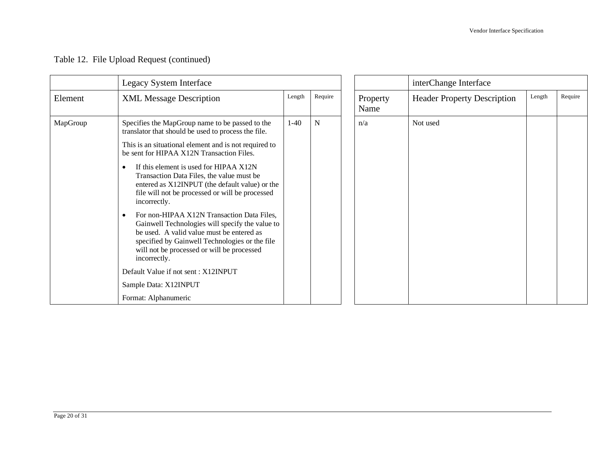|  |  |  |  | Table 12. File Upload Request (continued) |
|--|--|--|--|-------------------------------------------|
|--|--|--|--|-------------------------------------------|

|          | Legacy System Interface                                                                                                                                                                                                                                                 |        |           |                  | interChange Interface              |        |         |
|----------|-------------------------------------------------------------------------------------------------------------------------------------------------------------------------------------------------------------------------------------------------------------------------|--------|-----------|------------------|------------------------------------|--------|---------|
| Element  | <b>XML Message Description</b>                                                                                                                                                                                                                                          | Length | Require   | Property<br>Name | <b>Header Property Description</b> | Length | Require |
| MapGroup | Specifies the MapGroup name to be passed to the<br>translator that should be used to process the file.                                                                                                                                                                  | $1-40$ | ${\bf N}$ | n/a              | Not used                           |        |         |
|          | This is an situational element and is not required to<br>be sent for HIPAA X12N Transaction Files.                                                                                                                                                                      |        |           |                  |                                    |        |         |
|          | If this element is used for HIPAA X12N<br>$\bullet$<br>Transaction Data Files, the value must be<br>entered as X12INPUT (the default value) or the<br>file will not be processed or will be processed<br>incorrectly.                                                   |        |           |                  |                                    |        |         |
|          | For non-HIPAA X12N Transaction Data Files,<br>$\bullet$<br>Gainwell Technologies will specify the value to<br>be used. A valid value must be entered as<br>specified by Gainwell Technologies or the file<br>will not be processed or will be processed<br>incorrectly. |        |           |                  |                                    |        |         |
|          | Default Value if not sent: X12INPUT                                                                                                                                                                                                                                     |        |           |                  |                                    |        |         |
|          | Sample Data: X12INPUT                                                                                                                                                                                                                                                   |        |           |                  |                                    |        |         |
|          | Format: Alphanumeric                                                                                                                                                                                                                                                    |        |           |                  |                                    |        |         |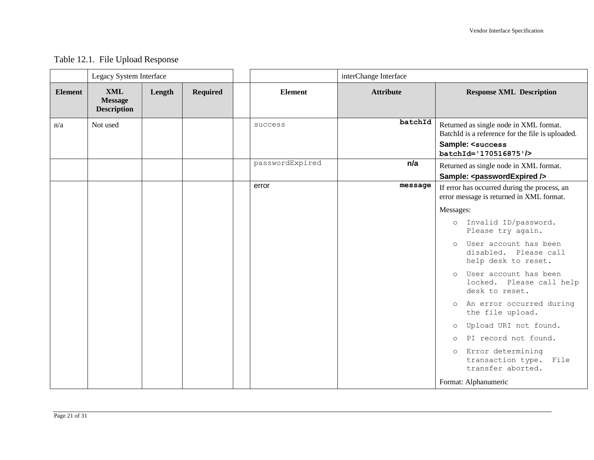### Table 12.1. File Upload Response

|                | Legacy System Interface                            |        |                 |                 | interChange Interface |                                                                                                                                                         |
|----------------|----------------------------------------------------|--------|-----------------|-----------------|-----------------------|---------------------------------------------------------------------------------------------------------------------------------------------------------|
| <b>Element</b> | <b>XML</b><br><b>Message</b><br><b>Description</b> | Length | <b>Required</b> | <b>Element</b>  | <b>Attribute</b>      | <b>Response XML Description</b>                                                                                                                         |
| n/a            | Not used                                           |        |                 | success         | batchId               | Returned as single node in XML format.<br>BatchId is a reference for the file is uploaded.<br>Sample: <success<br>batchId='170516875'/&gt;</success<br> |
|                |                                                    |        |                 | passwordExpired | n/a                   | Returned as single node in XML format.<br>Sample: <passwordexpired></passwordexpired>                                                                   |
|                |                                                    |        |                 | error           | message               | If error has occurred during the process, an<br>error message is returned in XML format.                                                                |
|                |                                                    |        |                 |                 |                       | Messages:                                                                                                                                               |
|                |                                                    |        |                 |                 |                       | o Invalid ID/password.<br>Please try again.                                                                                                             |
|                |                                                    |        |                 |                 |                       | User account has been<br>$\circ$<br>disabled. Please call<br>help desk to reset.                                                                        |
|                |                                                    |        |                 |                 |                       | User account has been<br>$\Omega$<br>locked. Please call help<br>desk to reset.                                                                         |
|                |                                                    |        |                 |                 |                       | An error occurred during<br>$\circ$<br>the file upload.                                                                                                 |
|                |                                                    |        |                 |                 |                       | Upload URI not found.<br>$\circ$                                                                                                                        |
|                |                                                    |        |                 |                 |                       | PI record not found.<br>$\Omega$                                                                                                                        |
|                |                                                    |        |                 |                 |                       | Error determining<br>$\circ$<br>transaction type. File<br>transfer aborted.                                                                             |
|                |                                                    |        |                 |                 |                       | Format: Alphanumeric                                                                                                                                    |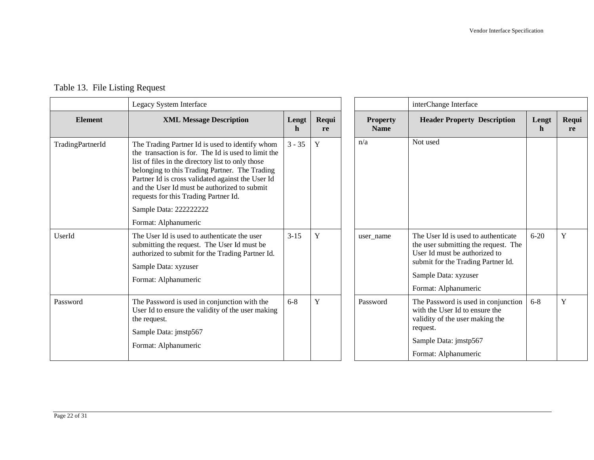|                  | Legacy System Interface                                                                                                                                                                                                                                                                                                                                     |                      |             |                                | interChange Interface                                                                                                                                                                              |            |             |
|------------------|-------------------------------------------------------------------------------------------------------------------------------------------------------------------------------------------------------------------------------------------------------------------------------------------------------------------------------------------------------------|----------------------|-------------|--------------------------------|----------------------------------------------------------------------------------------------------------------------------------------------------------------------------------------------------|------------|-------------|
| <b>Element</b>   | <b>XML Message Description</b>                                                                                                                                                                                                                                                                                                                              | Lengt<br>$\mathbf h$ | Requi<br>re | <b>Property</b><br><b>Name</b> | <b>Header Property Description</b>                                                                                                                                                                 | Lengt<br>n | Requi<br>re |
| TradingPartnerId | The Trading Partner Id is used to identify whom<br>the transaction is for. The Id is used to limit the<br>list of files in the directory list to only those<br>belonging to this Trading Partner. The Trading<br>Partner Id is cross validated against the User Id<br>and the User Id must be authorized to submit<br>requests for this Trading Partner Id. | $3 - 35$             | Y           | n/a                            | Not used                                                                                                                                                                                           |            |             |
|                  | Sample Data: 222222222                                                                                                                                                                                                                                                                                                                                      |                      |             |                                |                                                                                                                                                                                                    |            |             |
|                  | Format: Alphanumeric                                                                                                                                                                                                                                                                                                                                        |                      |             |                                |                                                                                                                                                                                                    |            |             |
| UserId           | The User Id is used to authenticate the user<br>submitting the request. The User Id must be<br>authorized to submit for the Trading Partner Id.<br>Sample Data: xyzuser<br>Format: Alphanumeric                                                                                                                                                             | $3 - 15$             | Y           | user name                      | The User Id is used to authenticate<br>the user submitting the request. The<br>User Id must be authorized to<br>submit for the Trading Partner Id.<br>Sample Data: xyzuser<br>Format: Alphanumeric | $6 - 20$   | Y           |
| Password         | The Password is used in conjunction with the<br>User Id to ensure the validity of the user making<br>the request.<br>Sample Data: jmstp567<br>Format: Alphanumeric                                                                                                                                                                                          | $6 - 8$              | Y           | Password                       | The Password is used in conjunction<br>with the User Id to ensure the<br>validity of the user making the<br>request.<br>Sample Data: jmstp567<br>Format: Alphanumeric                              | $6 - 8$    | $\mathbf Y$ |

### Table 13. File Listing Request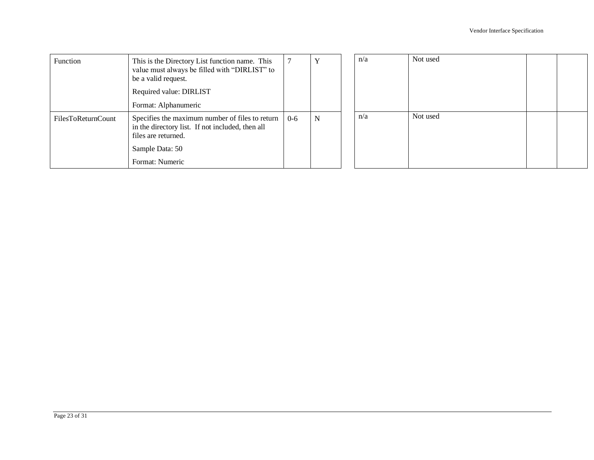| Function           | This is the Directory List function name. This<br>value must always be filled with "DIRLIST" to<br>be a valid request.<br>Required value: DIRLIST<br>Format: Alphanumeric |         |   | n/a | Not used |  |
|--------------------|---------------------------------------------------------------------------------------------------------------------------------------------------------------------------|---------|---|-----|----------|--|
| FilesToReturnCount | Specifies the maximum number of files to return<br>in the directory list. If not included, then all<br>files are returned.<br>Sample Data: 50<br>Format: Numeric          | $0 - 6$ | N | n/a | Not used |  |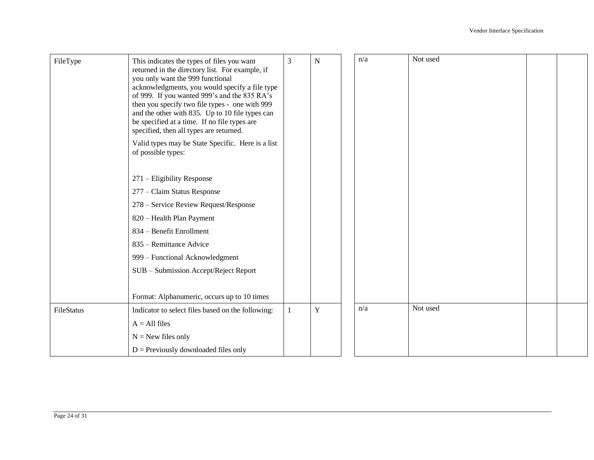| FileType   | This indicates the types of files you want<br>returned in the directory list. For example, if<br>you only want the 999 functional<br>acknowledgments, you would specify a file type<br>of 999. If you wanted 999's and the 835 RA's<br>then you specify two file types - one with 999 | $\mathfrak{Z}$ | $\mathbf N$ | n/a | Not used |  |
|------------|---------------------------------------------------------------------------------------------------------------------------------------------------------------------------------------------------------------------------------------------------------------------------------------|----------------|-------------|-----|----------|--|
|            | and the other with 835. Up to 10 file types can<br>be specified at a time. If no file types are<br>specified, then all types are returned.                                                                                                                                            |                |             |     |          |  |
|            | Valid types may be State Specific. Here is a list<br>of possible types:                                                                                                                                                                                                               |                |             |     |          |  |
|            | 271 – Eligibility Response                                                                                                                                                                                                                                                            |                |             |     |          |  |
|            | 277 – Claim Status Response                                                                                                                                                                                                                                                           |                |             |     |          |  |
|            | 278 – Service Review Request/Response                                                                                                                                                                                                                                                 |                |             |     |          |  |
|            | 820 - Health Plan Payment                                                                                                                                                                                                                                                             |                |             |     |          |  |
|            | 834 – Benefit Enrollment                                                                                                                                                                                                                                                              |                |             |     |          |  |
|            | 835 – Remittance Advice                                                                                                                                                                                                                                                               |                |             |     |          |  |
|            | 999 - Functional Acknowledgment                                                                                                                                                                                                                                                       |                |             |     |          |  |
|            | SUB - Submission Accept/Reject Report                                                                                                                                                                                                                                                 |                |             |     |          |  |
|            |                                                                                                                                                                                                                                                                                       |                |             |     |          |  |
|            | Format: Alphanumeric, occurs up to 10 times                                                                                                                                                                                                                                           |                |             |     |          |  |
| FileStatus | Indicator to select files based on the following:                                                                                                                                                                                                                                     |                | Y           | n/a | Not used |  |
|            | $A = All files$                                                                                                                                                                                                                                                                       |                |             |     |          |  |
|            | $N =$ New files only                                                                                                                                                                                                                                                                  |                |             |     |          |  |
|            | $D =$ Previously downloaded files only                                                                                                                                                                                                                                                |                |             |     |          |  |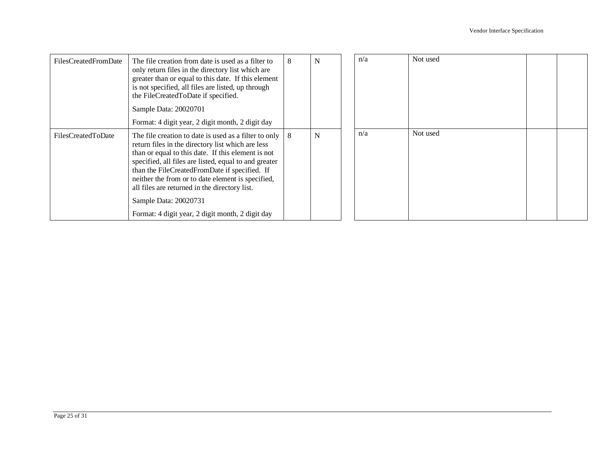| FilesCreatedFromDate | The file creation from date is used as a filter to<br>only return files in the directory list which are<br>greater than or equal to this date. If this element<br>is not specified, all files are listed, up through<br>the FileCreatedToDate if specified.<br>Sample Data: 20020701<br>Format: 4 digit year, 2 digit month, 2 digit day                                                                                                                      | 8 | N | n/a | Not used |  |
|----------------------|---------------------------------------------------------------------------------------------------------------------------------------------------------------------------------------------------------------------------------------------------------------------------------------------------------------------------------------------------------------------------------------------------------------------------------------------------------------|---|---|-----|----------|--|
| FilesCreatedToDate   | The file creation to date is used as a filter to only<br>return files in the directory list which are less<br>than or equal to this date. If this element is not<br>specified, all files are listed, equal to and greater<br>than the FileCreatedFromDate if specified. If<br>neither the from or to date element is specified,<br>all files are returned in the directory list.<br>Sample Data: 20020731<br>Format: 4 digit year, 2 digit month, 2 digit day | 8 | N | n/a | Not used |  |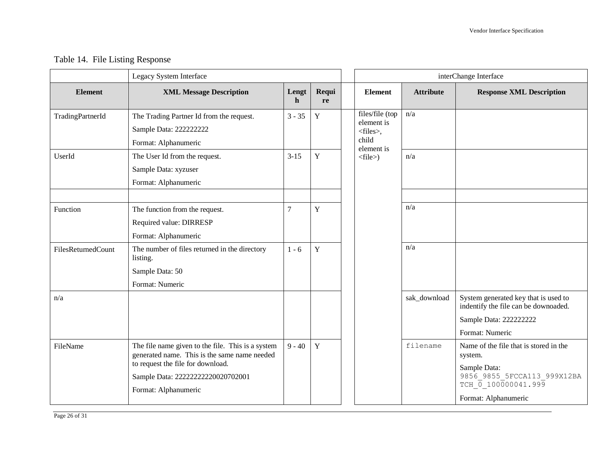### Table 14. File Listing Response

|                    | Legacy System Interface                                                                                                                                                                             |                |             |                                                             |                  | interChange Interface                                                                                                                           |
|--------------------|-----------------------------------------------------------------------------------------------------------------------------------------------------------------------------------------------------|----------------|-------------|-------------------------------------------------------------|------------------|-------------------------------------------------------------------------------------------------------------------------------------------------|
| <b>Element</b>     | <b>XML Message Description</b>                                                                                                                                                                      | Lengt<br>h     | Requi<br>re | <b>Element</b>                                              | <b>Attribute</b> | <b>Response XML Description</b>                                                                                                                 |
| TradingPartnerId   | The Trading Partner Id from the request.<br>Sample Data: 222222222<br>Format: Alphanumeric                                                                                                          | $3 - 35$       | Y           | files/file (top<br>element is<br><files>,<br/>child</files> | n/a              |                                                                                                                                                 |
| UserId             | The User Id from the request.<br>Sample Data: xyzuser<br>Format: Alphanumeric                                                                                                                       | $3 - 15$       | Y           | element is<br>$<$ file $>$ )                                | n/a              |                                                                                                                                                 |
| Function           | The function from the request.<br>Required value: DIRRESP<br>Format: Alphanumeric                                                                                                                   | $\overline{7}$ | $\mathbf Y$ |                                                             | n/a              |                                                                                                                                                 |
| FilesReturnedCount | The number of files returned in the directory<br>listing.<br>Sample Data: 50<br>Format: Numeric                                                                                                     | $1 - 6$        | $\mathbf Y$ |                                                             | n/a              |                                                                                                                                                 |
| n/a                |                                                                                                                                                                                                     |                |             |                                                             | sak_download     | System generated key that is used to<br>indentify the file can be downoaded.<br>Sample Data: 222222222<br>Format: Numeric                       |
| FileName           | The file name given to the file. This is a system<br>generated name. This is the same name needed<br>to request the file for download.<br>Sample Data: 22222222220020702001<br>Format: Alphanumeric | $9 - 40$       | $\mathbf Y$ |                                                             | filename         | Name of the file that is stored in the<br>system.<br>Sample Data:<br>9856_9855_5FCCA113_999X12BA<br>TCH 0 100000041.999<br>Format: Alphanumeric |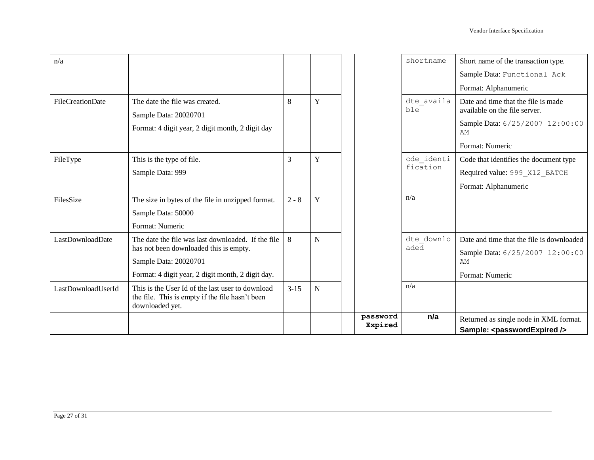|                         |                                                                                                                        |          |             | password<br>Expired | n/a                    | Returned as single node in XML format.<br>Sample: <passwordexpired></passwordexpired>                                            |
|-------------------------|------------------------------------------------------------------------------------------------------------------------|----------|-------------|---------------------|------------------------|----------------------------------------------------------------------------------------------------------------------------------|
| LastDownloadUserId      | This is the User Id of the last user to download<br>the file. This is empty if the file hasn't been<br>downloaded yet. | $3 - 15$ | $\mathbf N$ |                     | n/a                    |                                                                                                                                  |
|                         | Sample Data: 20020701<br>Format: 4 digit year, 2 digit month, 2 digit day.                                             |          |             |                     |                        | AM<br>Format: Numeric                                                                                                            |
| LastDownloadDate        | The date the file was last downloaded. If the file<br>has not been downloaded this is empty.                           | 8        | $\mathbf N$ |                     | dte downlo<br>aded     | Date and time that the file is downloaded<br>Sample Data: 6/25/2007 12:00:00                                                     |
|                         | Sample Data: 50000<br>Format: Numeric                                                                                  |          |             |                     |                        |                                                                                                                                  |
| FilesSize               | The size in bytes of the file in unzipped format.                                                                      | $2 - 8$  | Y           |                     | n/a                    | Format: Alphanumeric                                                                                                             |
| FileType                | This is the type of file.<br>Sample Data: 999                                                                          | 3        | Y           |                     | cde identi<br>fication | Code that identifies the document type<br>Required value: 999 X12 BATCH                                                          |
| <b>FileCreationDate</b> | The date the file was created.<br>Sample Data: 20020701<br>Format: 4 digit year, 2 digit month, 2 digit day            | 8        | Y           |                     | dte_availa<br>ble      | Date and time that the file is made<br>available on the file server.<br>Sample Data: 6/25/2007 12:00:00<br>AM<br>Format: Numeric |
| n/a                     |                                                                                                                        |          |             |                     | shortname              | Short name of the transaction type.<br>Sample Data: Functional Ack<br>Format: Alphanumeric                                       |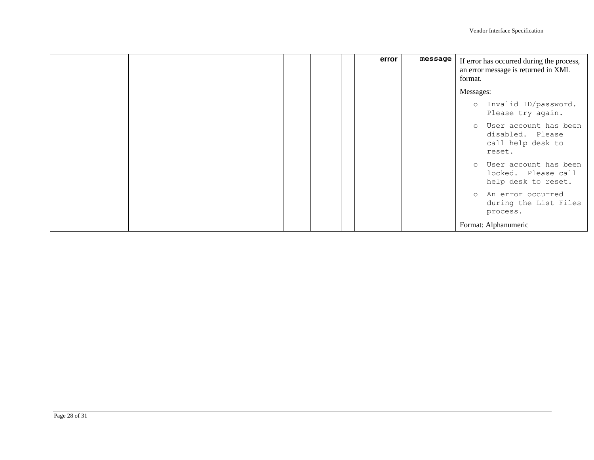|  |  | error | message | If error has occurred during the process,<br>an error message is returned in XML<br>format. |
|--|--|-------|---------|---------------------------------------------------------------------------------------------|
|  |  |       |         | Messages:                                                                                   |
|  |  |       |         | o Invalid ID/password.<br>Please try again.                                                 |
|  |  |       |         | o User account has been<br>disabled. Please<br>call help desk to<br>reset.                  |
|  |  |       |         | User account has been<br>$\circ$<br>locked. Please call<br>help desk to reset.              |
|  |  |       |         | An error occurred<br>$\circ$<br>during the List Files<br>process.                           |
|  |  |       |         | Format: Alphanumeric                                                                        |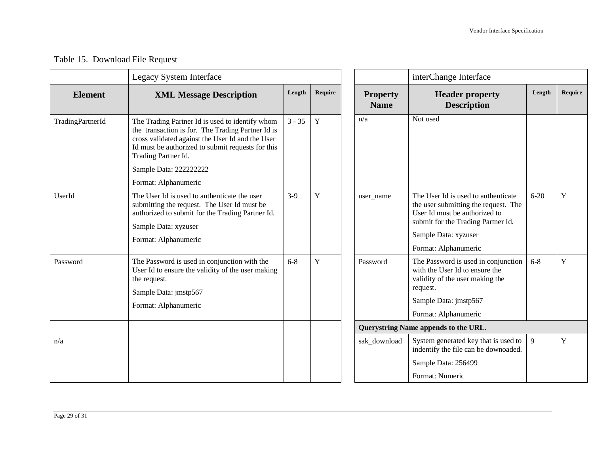### Table 15. Download File Request

|                  | Legacy System Interface                                                                                                                                                                                                              |          |             |                                      | interChange Interface                                                                                                                                                                              |          |         |
|------------------|--------------------------------------------------------------------------------------------------------------------------------------------------------------------------------------------------------------------------------------|----------|-------------|--------------------------------------|----------------------------------------------------------------------------------------------------------------------------------------------------------------------------------------------------|----------|---------|
| <b>Element</b>   | <b>XML Message Description</b>                                                                                                                                                                                                       | Length   | Require     | <b>Property</b><br><b>Name</b>       | <b>Header property</b><br><b>Description</b>                                                                                                                                                       | Length   | Require |
| TradingPartnerId | The Trading Partner Id is used to identify whom<br>the transaction is for. The Trading Partner Id is<br>cross validated against the User Id and the User<br>Id must be authorized to submit requests for this<br>Trading Partner Id. | $3 - 35$ | $\mathbf Y$ | n/a                                  | Not used                                                                                                                                                                                           |          |         |
|                  | Sample Data: 222222222                                                                                                                                                                                                               |          |             |                                      |                                                                                                                                                                                                    |          |         |
| UserId           | Format: Alphanumeric<br>The User Id is used to authenticate the user<br>submitting the request. The User Id must be<br>authorized to submit for the Trading Partner Id.<br>Sample Data: xyzuser<br>Format: Alphanumeric              | $3-9$    | Y           | user_name                            | The User Id is used to authenticate<br>the user submitting the request. The<br>User Id must be authorized to<br>submit for the Trading Partner Id.<br>Sample Data: xyzuser<br>Format: Alphanumeric | $6 - 20$ | Y       |
| Password         | The Password is used in conjunction with the<br>User Id to ensure the validity of the user making<br>the request.<br>Sample Data: jmstp567<br>Format: Alphanumeric                                                                   | $6 - 8$  | Y           | Password                             | The Password is used in conjunction<br>with the User Id to ensure the<br>validity of the user making the<br>request.<br>Sample Data: jmstp567<br>Format: Alphanumeric                              | $6 - 8$  | Y       |
|                  |                                                                                                                                                                                                                                      |          |             | Querystring Name appends to the URL. |                                                                                                                                                                                                    |          |         |
| n/a              |                                                                                                                                                                                                                                      |          |             | sak_download                         | System generated key that is used to<br>indentify the file can be downoaded.<br>Sample Data: 256499                                                                                                | 9        | Y       |
|                  |                                                                                                                                                                                                                                      |          |             |                                      | Format: Numeric                                                                                                                                                                                    |          |         |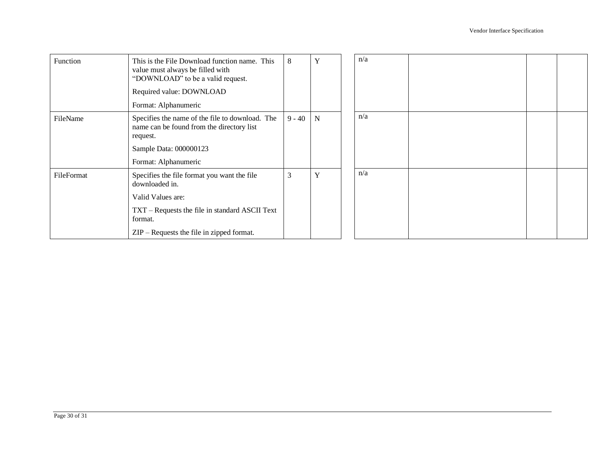| Function   | This is the File Download function name. This<br>value must always be filled with<br>"DOWNLOAD" to be a valid request.<br>Required value: DOWNLOAD<br>Format: Alphanumeric                            | 8        | Y           | n/a |  |  |
|------------|-------------------------------------------------------------------------------------------------------------------------------------------------------------------------------------------------------|----------|-------------|-----|--|--|
| FileName   | Specifies the name of the file to download. The<br>name can be found from the directory list<br>request.<br>Sample Data: 000000123<br>Format: Alphanumeric                                            | $9 - 40$ | $\mathbf N$ | n/a |  |  |
| FileFormat | Specifies the file format you want the file<br>downloaded in.<br>Valid Values are:<br>TXT – Requests the file in standard ASCII Text<br>format.<br>$ZIP - \text{Requests}$ the file in zipped format. | 3        | Y           | n/a |  |  |